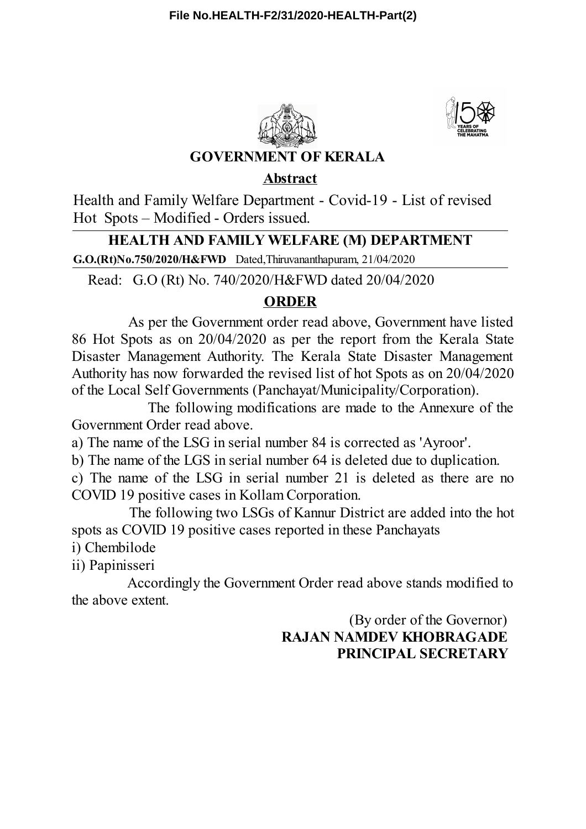



## **GOVERNMENT OF KERALA**

**Abstract**

Health and Family Welfare Department - Covid-19 - List of revised Hot Spots – Modified - Orders issued.

## **HEALTH AND FAMILY WELFARE (M) DEPARTMENT**

**G.O.(Rt)No.750/2020/H&FWD** Dated,Thiruvananthapuram, 21/04/2020

Read: G.O (Rt) No. 740/2020/H&FWD dated 20/04/2020

## **ORDER**

As per the Government order read above, Government have listed 86 Hot Spots as on 20/04/2020 as per the report from the Kerala State Disaster Management Authority. The Kerala State Disaster Management Authority has now forwarded the revised list of hot Spots as on 20/04/2020 of the Local Self Governments (Panchayat/Municipality/Corporation).

The following modifications are made to the Annexure of the Government Order read above.

a) The name of the LSG in serial number 84 is corrected as 'Ayroor'.

b) The name of the LGS in serial number 64 is deleted due to duplication.

c) The name of the LSG in serial number 21 is deleted as there are no COVID 19 positive cases in Kollam Corporation.

The following two LSGs of Kannur District are added into the hot spots as COVID 19 positive cases reported in these Panchayats

i) Chembilode

ii) Papinisseri

Accordingly the Government Order read above stands modified to the above extent.

> (By order of the Governor) **RAJAN NAMDEV KHOBRAGADE PRINCIPAL SECRETARY**